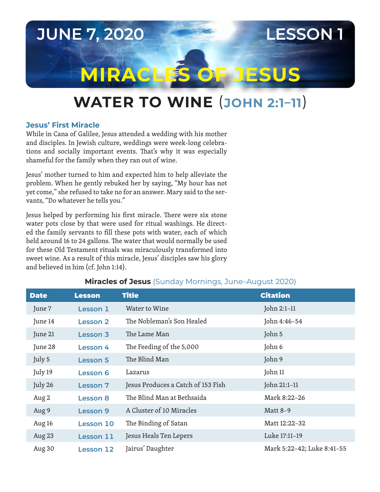# **JUNE 7, 2020 LESSON 1 MIRACLES OF JESUS**

## **WATER TO WINE** (**JOHN 2:1–11**)

#### **Jesus' First Miracle**

While in Cana of Galilee, Jesus attended a wedding with his mother and disciples. In Jewish culture, weddings were week-long celebrations and socially important events. That's why it was especially shameful for the family when they ran out of wine.

Jesus' mother turned to him and expected him to help alleviate the problem. When he gently rebuked her by saying, "My hour has not yet come," she refused to take no for an answer. Mary said to the servants, "Do whatever he tells you."

Jesus helped by performing his first miracle. There were six stone water pots close by that were used for ritual washings. He directed the family servants to fill these pots with water, each of which held around 16 to 24 gallons. The water that would normally be used for these Old Testament rituals was miraculously transformed into sweet wine. As a result of this miracle, Jesus' disciples saw his glory and believed in him (cf. John 1:14).

| <b>Date</b> | <b>Lesson</b>    | <b>Title</b>                       | <b>Citation</b>            |
|-------------|------------------|------------------------------------|----------------------------|
| June 7      | Lesson 1         | Water to Wine                      | John 2:1-11                |
| June 14     | <b>Lesson 2</b>  | The Nobleman's Son Healed          | John 4:46-54               |
| June 21     | <b>Lesson 3</b>  | The Lame Man                       | John 5                     |
| June 28     | Lesson 4         | The Feeding of the 5,000           | John 6                     |
| July 5      | <b>Lesson 5</b>  | The Blind Man                      | John 9                     |
| July 19     | <b>Lesson 6</b>  | Lazarus                            | John 11                    |
| July 26     | <b>Lesson 7</b>  | Jesus Produces a Catch of 153 Fish | John 21:1-11               |
| Aug 2       | <b>Lesson 8</b>  | The Blind Man at Bethsaida         | Mark 8:22-26               |
| Aug 9       | Lesson 9         | A Cluster of 10 Miracles           | <b>Matt 8-9</b>            |
| Aug 16      | <b>Lesson 10</b> | The Binding of Satan               | Matt 12:22-32              |
| Aug 23      | Lesson 11        | Jesus Heals Ten Lepers             | Luke 17:11-19              |
| Aug 30      | <b>Lesson 12</b> | Jairus' Daughter                   | Mark 5:22-42; Luke 8:41-55 |

### **Miracles of Jesus** (Sunday Mornings, June–August 2020)